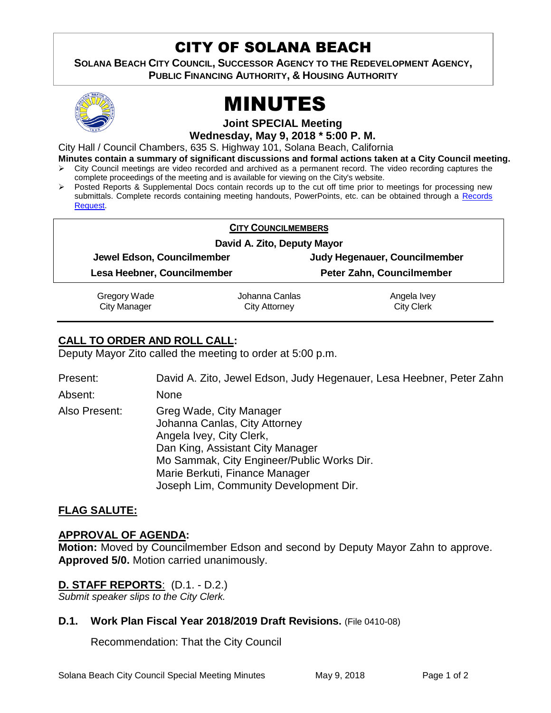# CITY OF SOLANA BEACH

aive **SOLANA BEACH CITY COUNCIL, SUCCESSOR AGENCY TO THE REDEVELOPMENT AGENCY, PUBLIC FINANCING AUTHORITY, & HOUSING AUTHORITY** 



# MINUTES

**Joint SPECIAL Meeting**

**Wednesday, May 9, 2018 \* 5:00 P. M.**

City Hall / Council Chambers, 635 S. Highway 101, Solana Beach, California

**Minutes contain a summary of significant discussions and formal actions taken at a City Council meeting.**

- $\triangleright$  City Council meetings are video recorded and archived as a permanent record. The video recording captures the complete proceedings of the meeting and is available for viewing on the City's website.
- $\triangleright$  Posted Reports & Supplemental Docs contain records up to the cut off time prior to meetings for processing new submittals. Complete records containing meeting handouts, PowerPoints, etc. can be obtained through a [Records](http://www.ci.solana-beach.ca.us/index.asp?SEC=F5D45D10-70CE-4291-A27C-7BD633FC6742&Type=B_BASIC)  [Request.](http://www.ci.solana-beach.ca.us/index.asp?SEC=F5D45D10-70CE-4291-A27C-7BD633FC6742&Type=B_BASIC)

| <b>CITY COUNCILMEMBERS</b>  |                             |                               |  |
|-----------------------------|-----------------------------|-------------------------------|--|
|                             | David A. Zito, Deputy Mayor |                               |  |
| Jewel Edson, Councilmember  |                             | Judy Hegenauer, Councilmember |  |
| Lesa Heebner, Councilmember |                             | Peter Zahn, Councilmember     |  |
| Gregory Wade                | Johanna Canlas              | Angela Ivey                   |  |
| <b>City Manager</b>         | City Attorney               | <b>City Clerk</b>             |  |

# **CALL TO ORDER AND ROLL CALL:**

Deputy Mayor Zito called the meeting to order at 5:00 p.m.

Present: David A. Zito, Jewel Edson, Judy Hegenauer, Lesa Heebner, Peter Zahn Absent: None

Also Present: Greg Wade, City Manager Johanna Canlas, City Attorney Angela Ivey, City Clerk, Dan King, Assistant City Manager Mo Sammak, City Engineer/Public Works Dir. Marie Berkuti, Finance Manager Joseph Lim, Community Development Dir.

## **FLAG SALUTE:**

#### **APPROVAL OF AGENDA:**

**Motion:** Moved by Councilmember Edson and second by Deputy Mayor Zahn to approve. **Approved 5/0.** Motion carried unanimously.

## **D. STAFF REPORTS**: (D.1. - D.2.)

*Submit speaker slips to the City Clerk.*

#### **D.1. Work Plan Fiscal Year 2018/2019 Draft Revisions.** (File 0410-08)

Recommendation: That the City Council